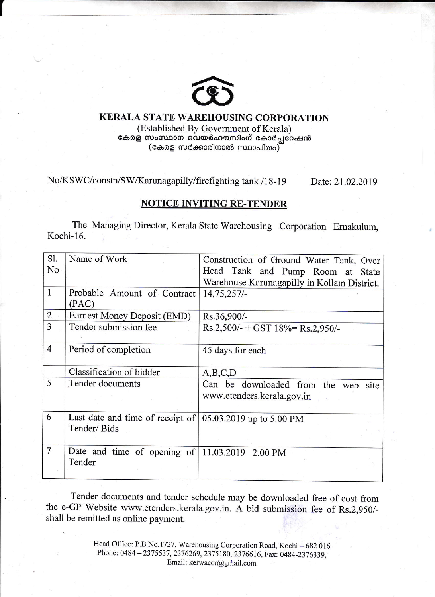

# KERALA STATE WAREHOUSING CORPORATION

(Established By Government of Kerala) കേരള സംസ്ഥാന വെയർഹൗസിംഗ് കോർപ്പറേഷൻ  $(\alpha_{\text{data}}\alpha_{\text{data}}\alpha_{\text{data}}\alpha_{\text{data}}\alpha_{\text{data}})$ 

No/KSWC/constn/SW/Karunagapilly/firefighting tank /18-19 Date: 21.02.2019

## NOTICE INVITING RE-TENDER

The Managing Director, Kerala State Warehousing Corporation Emakulum, Kochi-16.

| Sl.            | Name of Work                                                                   | Construction of Ground Water Tank, Over     |  |  |  |  |
|----------------|--------------------------------------------------------------------------------|---------------------------------------------|--|--|--|--|
| No             |                                                                                | Head Tank and Pump Room at State            |  |  |  |  |
|                |                                                                                | Warehouse Karunagapilly in Kollam District. |  |  |  |  |
| $\mathbf{1}$   | Probable Amount of Contract                                                    | $14,75,257/-$                               |  |  |  |  |
|                | (PAC)                                                                          |                                             |  |  |  |  |
| $\overline{2}$ | Earnest Money Deposit (EMD)                                                    | Rs.36,900/-                                 |  |  |  |  |
| 3              | Tender submission fee                                                          | $Rs.2,500/- + GST 18% = Rs.2,950/-$         |  |  |  |  |
|                |                                                                                |                                             |  |  |  |  |
| $\overline{4}$ | Period of completion                                                           | 45 days for each                            |  |  |  |  |
|                |                                                                                |                                             |  |  |  |  |
|                | Classification of bidder                                                       | A, B, C, D                                  |  |  |  |  |
| 5              | Tender documents                                                               | Can be downloaded from the web site         |  |  |  |  |
|                |                                                                                | www.etenders.kerala.gov.in                  |  |  |  |  |
|                |                                                                                |                                             |  |  |  |  |
| 6              | Last date and time of receipt of $(05.03.2019 \text{ up to } 5.00 \text{ PM})$ |                                             |  |  |  |  |
|                | Tender/Bids                                                                    |                                             |  |  |  |  |
|                |                                                                                |                                             |  |  |  |  |
| $\overline{7}$ | Date and time of opening of $11.03.2019$ 2.00 PM                               |                                             |  |  |  |  |
|                | Tender                                                                         |                                             |  |  |  |  |
|                |                                                                                |                                             |  |  |  |  |

Tender documents and tender schedule may be downloaded free of cost from the e-GP website www.etenders.kerala.gov.in. A bid submission fee of Rs.2,950/ shall be remitted as online payment.

> Head Office: P.B No.1727, Warehousing Corporation Road, Kochi - 682 016 Phone: 0484 - 2375537, 2376269, 2375180, 2376616, Fax: 0484-2376339, Email: kerwacor@gmail.com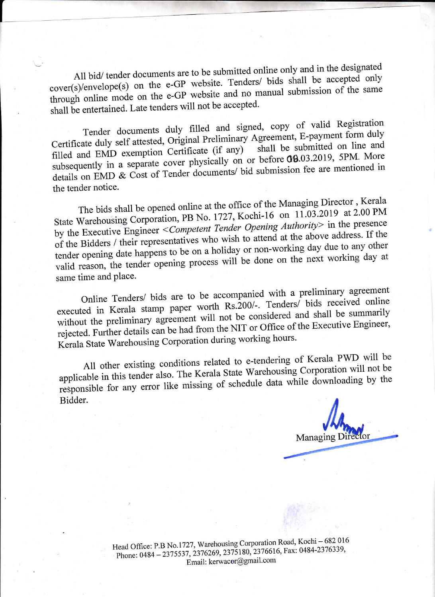All bid/ tender documents are to be submitted online only and in the designated cover(s)/envelope(s) on the e-GP website. Tenders/ bids shall be accepted only through online mode on the e-GP website and no manual submission of the same shall be entertained. Late tenders will not be accepted.

Tender documents duly filled and signed, copy of valid Registration Certificate duly self attested, Original Preliminary Agreement, E-payment form duly filled and EMD exemption Certificate (if any) shall be submitted on line and Certificate duly self attested, Original Fremman,  $\frac{1}{2}$  is submitted on line and filled and EMD exemption Certificate (if any) shall be submitted on line and subsequently in a separate cover physically on or before 60.65.2615, experienced in details on EMD & Cost of Tender documents/ bid submission fee are mentioned in cover physically on or before  $00.03.2019$ , 5PM. More the tender notice.

The bids shall be opened online at the office of the Managing Director, Kerala State Warehousing Corporation, PB No. 1727, Kochi-16 on 11.03.2019 at 2.00 PM by the Executive Engineer < Competent Tender Opening Authority> in the presence of the Bidders / their representatives who wish to attend at the above address. If the tender opening date happens to be on a holiday or non-working day due to any other valid reason, the tender opening process will be done on the next working day at same time and place.

Online Tenders/ bids are to be accompanied with a present precised online<br>executed in Kerala stamp paper worth Rs.200/-. Tenders/ bids received online without the preliminary agreement<br>in the Eurther details can be had f without the preliminary agreement will not be considered and shall be summarily without the premimally agreement to the NIT or Office of the Executive Engineer,<br>rejected. Further details can be had from the NIT or Office of the Executive Engineer, rejected. Further details can be made to the working hours.

All other existing conditions related to e-tendering of Kerala PWD will be All other existing conditions related by the applicable in this tender also. The Kerala State Warehousing Corporation will not be applicable in this tender also. The Kerala State Warehousing Corporation will not be responsible for any error like missing of schedule data while downloading by the Bidder.

Managing Dir

Head Office: P.B No.1727, Warehousing Corporation Road, Kochi - 682 016 Phone: 0484 - 2375537, 2376269, 2375180, 2376616, Fax: 0484-2376339, Email: kerwacor@gmail.com